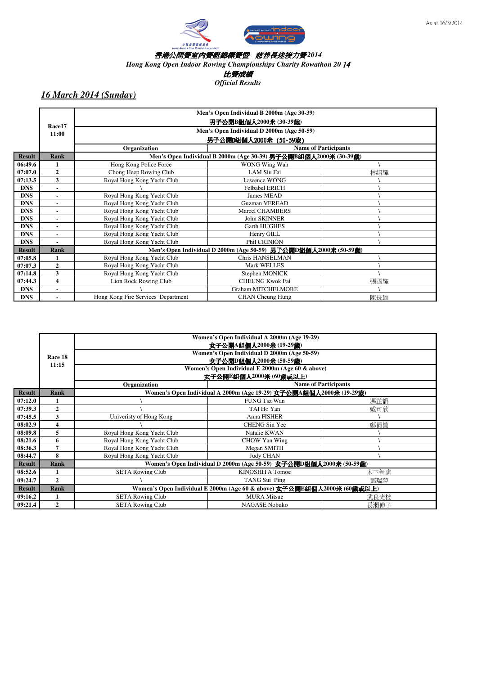

*Hong Kong Open Indoor Rowing Championships Charity Rowathon 20* 14

比賽成績

*Official Results*

|               |                |                                           | Men's Open Individual B 2000m (Age 30-39)                        |                             |  |  |  |
|---------------|----------------|-------------------------------------------|------------------------------------------------------------------|-----------------------------|--|--|--|
|               | Race17         |                                           | 男子公開B組個人2000米 (30-39歲)                                           |                             |  |  |  |
|               | 11:00          | Men's Open Individual D 2000m (Age 50-59) |                                                                  |                             |  |  |  |
|               |                |                                           | 男子公開D組個人2000米 (50-59歲)                                           |                             |  |  |  |
|               |                | Organization                              |                                                                  | <b>Name of Participants</b> |  |  |  |
| <b>Result</b> | <b>Rank</b>    |                                           | Men's Open Individual B 2000m (Age 30-39) 男子公開B組個人2000米 (30-39歳) |                             |  |  |  |
| 06:49.6       | 1              | Hong Kong Police Force                    | WONG Wing Wah                                                    |                             |  |  |  |
| 07:07.0       | $\mathbf{2}$   | Chong Heep Rowing Club                    | <b>LAM Siu Fai</b>                                               | 林紹輝                         |  |  |  |
| 07:13.5       | 3              | Royal Hong Kong Yacht Club                | Lawence WONG                                                     |                             |  |  |  |
| <b>DNS</b>    |                |                                           | <b>Felbabel ERICH</b>                                            |                             |  |  |  |
| <b>DNS</b>    |                | Royal Hong Kong Yacht Club                | James MEAD                                                       |                             |  |  |  |
| <b>DNS</b>    |                | Royal Hong Kong Yacht Club                | <b>Guzman VEREAD</b>                                             |                             |  |  |  |
| <b>DNS</b>    |                | Royal Hong Kong Yacht Club                | <b>Marcel CHAMBERS</b>                                           |                             |  |  |  |
| <b>DNS</b>    |                | Royal Hong Kong Yacht Club                | <b>John SKINNER</b>                                              |                             |  |  |  |
| <b>DNS</b>    |                | Royal Hong Kong Yacht Club                | <b>Garth HUGHES</b>                                              |                             |  |  |  |
| <b>DNS</b>    |                | Royal Hong Kong Yacht Club                | Henry GILL                                                       |                             |  |  |  |
| <b>DNS</b>    |                | Royal Hong Kong Yacht Club                | Phil CRINION                                                     |                             |  |  |  |
| <b>Result</b> | <b>Rank</b>    |                                           | Men's Open Individual D 2000m (Age 50-59) 男子公開D組個人2000米 (50-59歲) |                             |  |  |  |
| 07:05.8       |                | Royal Hong Kong Yacht Club                | Chris HANSELMAN                                                  |                             |  |  |  |
| 07:07.3       | $\overline{2}$ | Royal Hong Kong Yacht Club                | <b>Mark WELLES</b>                                               |                             |  |  |  |
| 07:14.8       | 3              | Royal Hong Kong Yacht Club                | Stephen MONICK                                                   |                             |  |  |  |
| 07:44.3       | 4              | Lion Rock Rowing Club                     | <b>CHEUNG Kwok Fai</b>                                           | 張國輝                         |  |  |  |
| <b>DNS</b>    |                |                                           | <b>Graham MITCHELMORE</b>                                        |                             |  |  |  |
| <b>DNS</b>    |                | Hong Kong Fire Services Department        | <b>CHAN</b> Cheung Hung                                          | 陳長雄                         |  |  |  |

|               |              |                            | Women's Open Individual A 2000m (Age 19-29)<br>女子公開A組個人2000米 (19-29歳)   |                             |  |  |  |  |  |  |  |
|---------------|--------------|----------------------------|-------------------------------------------------------------------------|-----------------------------|--|--|--|--|--|--|--|
|               |              |                            | Women's Open Individual D 2000m (Age 50-59)                             |                             |  |  |  |  |  |  |  |
|               | Race 18      |                            | 女子公開D組個人2000米 (50-59歲)                                                  |                             |  |  |  |  |  |  |  |
|               | 11:15        |                            | Women's Open Individual E 2000m (Age 60 & above)                        |                             |  |  |  |  |  |  |  |
|               |              |                            | 文子公開E組個人2000米 (60歲或以上)                                                  |                             |  |  |  |  |  |  |  |
|               |              | Organization               |                                                                         | <b>Name of Participants</b> |  |  |  |  |  |  |  |
| <b>Result</b> | <b>Rank</b>  |                            | Women's Open Individual A 2000m (Age 19-29) 女子公開A組個人2000米 (19-29歲)      |                             |  |  |  |  |  |  |  |
| 07:12.0       |              |                            | <b>FUNG Tsz Wan</b>                                                     | 馮芷韻                         |  |  |  |  |  |  |  |
| 07:39.3       | $\mathbf{2}$ |                            | TAI Ho Yan<br>戴可欣                                                       |                             |  |  |  |  |  |  |  |
| 07:45.5       | 3            | Univeristy of Hong Kong    | Anna FISHER                                                             |                             |  |  |  |  |  |  |  |
| 08:02.9       | 4            |                            | <b>CHENG Sin Yee</b>                                                    | 鄭倩儀                         |  |  |  |  |  |  |  |
| 08:09.8       | 5            | Royal Hong Kong Yacht Club | Natalie KWAN                                                            |                             |  |  |  |  |  |  |  |
| 08:21.6       | 6            | Royal Hong Kong Yacht Club | <b>CHOW Yan Wing</b>                                                    |                             |  |  |  |  |  |  |  |
| 08:36.3       | 7            | Royal Hong Kong Yacht Club | Megan SMITH                                                             |                             |  |  |  |  |  |  |  |
| 08:44.7       | 8            | Royal Hong Kong Yacht Club | <b>Judy CHAN</b>                                                        |                             |  |  |  |  |  |  |  |
| <b>Result</b> | <b>Rank</b>  |                            | Women's Open Individual D 2000m (Age 50-59) 女子公開D組個人2000米 (50-59歲)      |                             |  |  |  |  |  |  |  |
| 08:52.6       |              | <b>SETA Rowing Club</b>    | <b>KINOSHITA Tomoe</b>                                                  | 木下智惠                        |  |  |  |  |  |  |  |
| 09:24.7       | $\mathbf{2}$ |                            | TANG Sui Ping<br>鄧瑞萍                                                    |                             |  |  |  |  |  |  |  |
| <b>Result</b> | <b>Rank</b>  |                            | Women's Open Individual E 2000m (Age 60 & above) 女子公開E組個人2000米 (60歲或以上) |                             |  |  |  |  |  |  |  |
| 09:16.2       |              | <b>SETA Rowing Club</b>    | <b>MURA Mitsue</b>                                                      | 武良光枝                        |  |  |  |  |  |  |  |
| 09:21.4       | 2            | <b>SETA Rowing Club</b>    | <b>NAGASE Nobuko</b>                                                    | 長瀨伸子                        |  |  |  |  |  |  |  |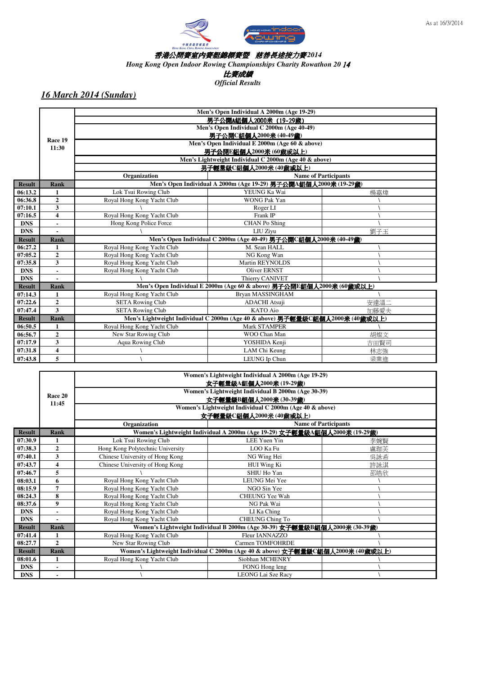



*Hong Kong Open Indoor Rowing Championships Charity Rowathon 20* 14

比賽成績

*Official Results*

|               |                |                                           | Men's Open Individual A 2000m (Age 19-29)                                     |                             |  |  |  |  |  |  |
|---------------|----------------|-------------------------------------------|-------------------------------------------------------------------------------|-----------------------------|--|--|--|--|--|--|
|               |                | 男子公開A組個人2000米 (19-29歳)                    |                                                                               |                             |  |  |  |  |  |  |
|               |                | Men's Open Individual C 2000m (Age 40-49) |                                                                               |                             |  |  |  |  |  |  |
|               | Race 19        | 男子公開C組個人2000米 (40-49歳)                    |                                                                               |                             |  |  |  |  |  |  |
|               |                |                                           | Men's Open Individual E 2000m (Age 60 & above)                                |                             |  |  |  |  |  |  |
|               | 11:30          |                                           | 男子公開E組個人2000米 (60歲或以上)                                                        |                             |  |  |  |  |  |  |
|               |                |                                           | Men's Lightweight Individual C 2000m (Age 40 & above)                         |                             |  |  |  |  |  |  |
|               |                |                                           | 男子輕量級C組個人2000米 (40歲或以上)                                                       |                             |  |  |  |  |  |  |
|               |                | Organization                              |                                                                               | <b>Name of Participants</b> |  |  |  |  |  |  |
| <b>Result</b> | <b>Rank</b>    |                                           | Men's Open Individual A 2000m (Age 19-29) 男子公開A組個人2000米 (19-29歲)              |                             |  |  |  |  |  |  |
| 06:13.2       | 1              | Lok Tsui Rowing Club                      | YEUNG Ka Wai                                                                  | 楊嘉煒                         |  |  |  |  |  |  |
| 06:36.8       | $\overline{2}$ | Royal Hong Kong Yacht Club                | <b>WONG Pak Yan</b>                                                           |                             |  |  |  |  |  |  |
| 07:10.1       | 3              |                                           | Roger LI                                                                      |                             |  |  |  |  |  |  |
| 07:16.5       | 4              | Royal Hong Kong Yacht Club                | Frank IP                                                                      |                             |  |  |  |  |  |  |
| <b>DNS</b>    |                | Hong Kong Police Force                    | <b>CHAN</b> Po Shing                                                          |                             |  |  |  |  |  |  |
| <b>DNS</b>    |                |                                           | LIU Ziyu                                                                      | 劉子玉                         |  |  |  |  |  |  |
| <b>Result</b> | <b>Rank</b>    |                                           | Men's Open Individual C 2000m (Age 40-49) 男子公開C組個人2000米 (40-49歲)              |                             |  |  |  |  |  |  |
| 06:27.2       | 1              | Royal Hong Kong Yacht Club                | M. Sean HALL                                                                  |                             |  |  |  |  |  |  |
| 07:05.2       | $\overline{2}$ | Royal Hong Kong Yacht Club                | NG Kong Wan                                                                   |                             |  |  |  |  |  |  |
| 07:35.8       | 3              | Royal Hong Kong Yacht Club                | <b>Martin REYNOLDS</b>                                                        |                             |  |  |  |  |  |  |
| <b>DNS</b>    |                | Royal Hong Kong Yacht Club                | <b>Oliver ERNST</b>                                                           |                             |  |  |  |  |  |  |
| <b>DNS</b>    |                |                                           | Thierry CANIVET                                                               |                             |  |  |  |  |  |  |
| <b>Result</b> | <b>Rank</b>    |                                           | Men's Open Individual E 2000m (Age 60 & above) 男子公開E組個人2000米 (60歲或以上)         |                             |  |  |  |  |  |  |
| 07:14.3       | 1              | Royal Hong Kong Yacht Club                | <b>Bryan MASSINGHAM</b>                                                       |                             |  |  |  |  |  |  |
| 07:22.6       | $\overline{2}$ | <b>SETA Rowing Club</b>                   | <b>ADACHI</b> Atsuji                                                          | 安達溫二                        |  |  |  |  |  |  |
| 07:47.4       | 3              | <b>SETA Rowing Club</b>                   | <b>KATO</b> Aio                                                               | 加藤愛夫                        |  |  |  |  |  |  |
| <b>Result</b> | <b>Rank</b>    |                                           | Men's Lightweight Individual C 2000m (Age 40 & above) 男子輕量級C組個人2000米 (40歲或以上) |                             |  |  |  |  |  |  |
| 06:50.5       | 1              | Royal Hong Kong Yacht Club                | <b>Mark STAMPER</b>                                                           |                             |  |  |  |  |  |  |
| 06:56.7       | $\overline{2}$ | New Star Rowing Club                      | WOO Chan Man                                                                  | 胡燦文                         |  |  |  |  |  |  |
| 07:17.9       | 3              | <b>Aqua Rowing Club</b>                   | YOSHIDA Kenji                                                                 | 吉田賢司                        |  |  |  |  |  |  |
| 07:31.8       | 4              |                                           | LAM Chi Keung                                                                 | 林志強                         |  |  |  |  |  |  |
| 07:43.8       | 5              |                                           | LEUNG Ip Chun                                                                 | 梁業進                         |  |  |  |  |  |  |

|               |                         |                                                    | Women's Lightweight Individual A 2000m (Age 19-29)                              |                             |  |  |  |  |  |
|---------------|-------------------------|----------------------------------------------------|---------------------------------------------------------------------------------|-----------------------------|--|--|--|--|--|
|               |                         | 女子輕量級A組個人2000米 (19-29歲)                            |                                                                                 |                             |  |  |  |  |  |
|               | Race 20                 | Women's Lightweight Individual B 2000m (Age 30-39) |                                                                                 |                             |  |  |  |  |  |
|               | 11:45                   |                                                    | 女子輕量級B組個人2000米 (30-39歲)                                                         |                             |  |  |  |  |  |
|               |                         |                                                    | Women's Lightweight Individual C 2000m (Age 40 & above)                         |                             |  |  |  |  |  |
|               |                         |                                                    | 女子輕量級C組個人2000米 (40歲或以上)                                                         |                             |  |  |  |  |  |
|               |                         | Organization                                       |                                                                                 | <b>Name of Participants</b> |  |  |  |  |  |
| <b>Result</b> | <b>Rank</b>             |                                                    | Women's Lightweight Individual A 2000m (Age 19-29) 女子輕量級A組個人2000米 (19-29歲)      |                             |  |  |  |  |  |
| 07:30.9       |                         | Lok Tsui Rowing Club                               | <b>LEE Yuen Yin</b>                                                             | 李婉賢                         |  |  |  |  |  |
| 07:38.3       | $\overline{2}$          | Hong Kong Polytechnic University                   | LOO Ka Fu                                                                       | 盧珈芙                         |  |  |  |  |  |
| 07:40.1       | 3                       | Chinese University of Hong Kong                    | NG Wing Hei                                                                     | 吳詠希                         |  |  |  |  |  |
| 07:43.7       | $\overline{\mathbf{4}}$ | Chinese University of Hong Kong                    | HUI Wing Ki                                                                     | 許詠淇                         |  |  |  |  |  |
| 07:46.7       | 5                       |                                                    | SHIU Ho Yan                                                                     | 邵皓欣                         |  |  |  |  |  |
| 08:03.1       | 6                       | Royal Hong Kong Yacht Club                         | LEUNG Mei Yee                                                                   |                             |  |  |  |  |  |
| 08:15.9       | 7                       | Royal Hong Kong Yacht Club                         | NGO Sin Yee                                                                     |                             |  |  |  |  |  |
| 08:24.3       | 8                       | Royal Hong Kong Yacht Club                         | CHEUNG Yee Wah                                                                  |                             |  |  |  |  |  |
| 08:37.6       | $\boldsymbol{9}$        | Royal Hong Kong Yacht Club                         | NG Pak Wai                                                                      |                             |  |  |  |  |  |
| <b>DNS</b>    |                         | Royal Hong Kong Yacht Club                         | LI Ka Ching                                                                     |                             |  |  |  |  |  |
| <b>DNS</b>    |                         | Royal Hong Kong Yacht Club                         | CHEUNG Ching To                                                                 |                             |  |  |  |  |  |
| <b>Result</b> | <b>Rank</b>             |                                                    | Women's Lightweight Individual B 2000m (Age 30-39) 女子輕量級B組個人2000米 (30-39歲)      |                             |  |  |  |  |  |
| 07:41.4       | 1                       | Royal Hong Kong Yacht Club                         | Fleur IANNAZZO                                                                  |                             |  |  |  |  |  |
| 08:27.7       | $\overline{2}$          | New Star Rowing Club                               | Carmen TOMFOHRDE                                                                |                             |  |  |  |  |  |
| <b>Result</b> | Rank                    |                                                    | Women's Lightweight Individual C 2000m (Age 40 & above) 女子輕量級C組個人2000米 (40歲或以上) |                             |  |  |  |  |  |
| 08:01.6       | 1                       | Royal Hong Kong Yacht Club                         | Siobhan MCHENRY                                                                 |                             |  |  |  |  |  |
| <b>DNS</b>    |                         |                                                    | FONG Hong leng                                                                  |                             |  |  |  |  |  |
| <b>DNS</b>    |                         |                                                    | <b>LEONG Lai Sze Racy</b>                                                       |                             |  |  |  |  |  |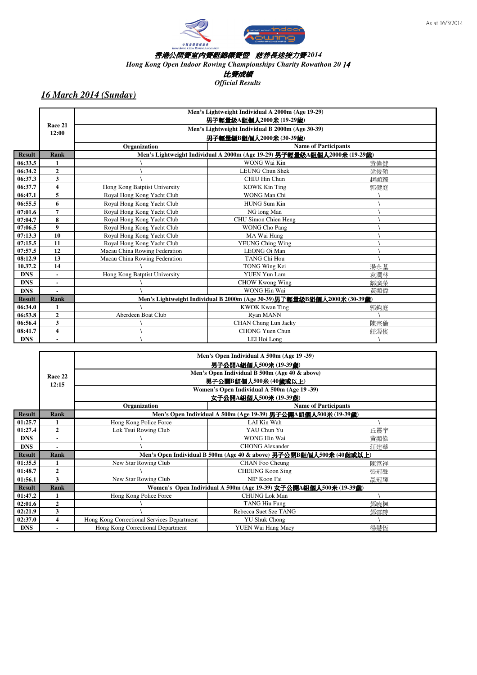

*Hong Kong Open Indoor Rowing Championships Charity Rowathon 20* 14

比賽成績

*Official Results*

|               |                  | Men's Lightweight Individual A 2000m (Age 19-29) |                                                                          |                             |  |  |  |
|---------------|------------------|--------------------------------------------------|--------------------------------------------------------------------------|-----------------------------|--|--|--|
|               |                  |                                                  | 男子輕量級A組個人2000米 (19-29歲)                                                  |                             |  |  |  |
|               | Race 21<br>12:00 |                                                  | Men's Lightweight Individual B 2000m (Age 30-39)                         |                             |  |  |  |
|               |                  |                                                  | 男子輕量級B組個人2000米 (30-39歲)                                                  |                             |  |  |  |
|               |                  | Organization                                     |                                                                          | <b>Name of Participants</b> |  |  |  |
| <b>Result</b> | <b>Rank</b>      |                                                  | Men's Lightweight Individual A 2000m (Age 19-29) 男子輕量級A組個人2000米 (19-29歲) |                             |  |  |  |
| 06:33.5       |                  |                                                  | WONG Wai Kin                                                             | 黃偉健                         |  |  |  |
| 06:34.2       | $\overline{2}$   |                                                  | <b>LEUNG Chun Shek</b>                                                   | 梁俊碩                         |  |  |  |
| 06:37.3       | 3                |                                                  | CHIU Hin Chun                                                            | 調顯臻                         |  |  |  |
| 06:37.7       | 4                | Hong Kong Batptist University                    | <b>KOWK Kin Ting</b>                                                     | 郭健庭                         |  |  |  |
| 06:47.1       | 5                | Royal Hong Kong Yacht Club                       | WONG Man Chi                                                             |                             |  |  |  |
| 06:55.5       | 6                | Royal Hong Kong Yacht Club                       | <b>HUNG Sum Kin</b>                                                      |                             |  |  |  |
| 07:01.6       | 7                | Royal Hong Kong Yacht Club                       | NG long Man                                                              |                             |  |  |  |
| 07:04.7       | 8                | Royal Hong Kong Yacht Club                       | CHU Simon Chien Heng                                                     |                             |  |  |  |
| 07:06.5       | 9                | Royal Hong Kong Yacht Club                       | WONG Cho Pang                                                            |                             |  |  |  |
| 07:13.3       | 10               | Royal Hong Kong Yacht Club                       | MA Wai Hung                                                              |                             |  |  |  |
| 07:15.5       | 11               | Royal Hong Kong Yacht Club                       | <b>YEUNG Ching Wing</b>                                                  |                             |  |  |  |
| 07:57.5       | 12               | Macau China Rowing Federation                    | LEONG Oi Man                                                             |                             |  |  |  |
| 08:12.9       | 13               | Macau China Rowing Federation                    | <b>TANG Chi Hou</b>                                                      |                             |  |  |  |
| 10.37.2       | 14               |                                                  | TONG Wing Kei                                                            | 湯永基                         |  |  |  |
| <b>DNS</b>    |                  | Hong Kong Batptist University                    | <b>YUEN Yun Lam</b>                                                      | 袁潤林                         |  |  |  |
| <b>DNS</b>    |                  |                                                  | <b>CHOW Kwong Wing</b>                                                   | 鄒廣榮                         |  |  |  |
| <b>DNS</b>    |                  |                                                  | WONG Hin Wai                                                             | 黃顯偉                         |  |  |  |
| <b>Result</b> | <b>Rank</b>      |                                                  | Men's Lightweight Individual B 2000m (Age 30-39)男子輕量級B組個人2000米 (30-39歲)  |                             |  |  |  |
| 06:34.0       | 1                |                                                  | <b>KWOK Kwan Ting</b>                                                    | 郭鈞庭                         |  |  |  |
| 06:53.8       | $\overline{2}$   | Aberdeen Boat Club                               | Ryan MANN                                                                |                             |  |  |  |
| 06:56.4       | 3                |                                                  | CHAN Chung Lun Jacky                                                     | 陳宗倫                         |  |  |  |
| 08:41.7       | 4                |                                                  | <b>CHONG Yuen Chun</b>                                                   | 莊源俊                         |  |  |  |
| <b>DNS</b>    |                  |                                                  | LEI Hoi Long                                                             |                             |  |  |  |

|               | Men's Open Individual A 500m (Age 19 -39)<br>男子公開A組個人500米(19-39歲)<br>Men's Open Individual B 500m (Age 40 & above) |                                            |                                                                     |                             |  |  |  |  |
|---------------|--------------------------------------------------------------------------------------------------------------------|--------------------------------------------|---------------------------------------------------------------------|-----------------------------|--|--|--|--|
|               |                                                                                                                    |                                            |                                                                     |                             |  |  |  |  |
|               | Race 22<br>12:15                                                                                                   |                                            | 男子公開B組個人500米 (40歳或以上)                                               |                             |  |  |  |  |
|               |                                                                                                                    |                                            | Women's Open Individual A 500m (Age 19 -39)                         |                             |  |  |  |  |
|               |                                                                                                                    |                                            | 文子公開A組個人500米 (19-39歲)                                               |                             |  |  |  |  |
|               |                                                                                                                    | Organization                               |                                                                     | <b>Name of Participants</b> |  |  |  |  |
| <b>Result</b> | <b>Rank</b>                                                                                                        |                                            | Men's Open Individual A 500m (Age 19-39) 男子公開A組個人500米 (19-39歲)      |                             |  |  |  |  |
| 01:25.7       |                                                                                                                    | Hong Kong Police Force                     | LAI Kin Wah                                                         |                             |  |  |  |  |
| 01:27.4       | $\mathbf{2}$                                                                                                       | Lok Tsui Rowing Club                       | YAU Chun Yu                                                         | 丘震宇                         |  |  |  |  |
| <b>DNS</b>    |                                                                                                                    |                                            | WONG Hin Wai                                                        | 黃顯偉                         |  |  |  |  |
| <b>DNS</b>    |                                                                                                                    |                                            | <b>CHONG Alexander</b>                                              | 莊建華                         |  |  |  |  |
| <b>Result</b> | <b>Rank</b>                                                                                                        |                                            | Men's Open Individual B 500m (Age 40 & above) 男子公開B組個人500米 (40歲或以上) |                             |  |  |  |  |
| 01:35.5       |                                                                                                                    | New Star Rowing Club                       | CHAN Foo Cheung                                                     | 陳富祥                         |  |  |  |  |
| 01:48.7       | $\mathbf{2}$                                                                                                       |                                            | <b>CHEUNG Koon Sing</b>                                             | 張冠聲                         |  |  |  |  |
| 01:56.1       | 3                                                                                                                  | New Star Rowing Club                       | NIP Koon Fai                                                        | 聶冠輝                         |  |  |  |  |
| <b>Result</b> | <b>Rank</b>                                                                                                        |                                            | Women's Open Individual A 500m (Age 19-39) 女子公開A組個人500米 (19-39歲)    |                             |  |  |  |  |
| 01:47.2       |                                                                                                                    | Hong Kong Police Force                     | <b>CHUNG Lok Man</b>                                                |                             |  |  |  |  |
| 02:01.6       | $\overline{2}$                                                                                                     |                                            | <b>TANG Hiu Fung</b>                                                | 鄧曉楓                         |  |  |  |  |
| 02:21.9       | 3                                                                                                                  |                                            | Rebecca Suet Sze TANG                                               | 鄧雪詩                         |  |  |  |  |
| 02:37.0       | 4                                                                                                                  | Hong Kong Correctional Services Department | <b>YU Shuk Chong</b>                                                |                             |  |  |  |  |
| <b>DNS</b>    |                                                                                                                    | Hong Kong Correctional Department          | YUEN Wai Hang Macy                                                  | 楊慧恆                         |  |  |  |  |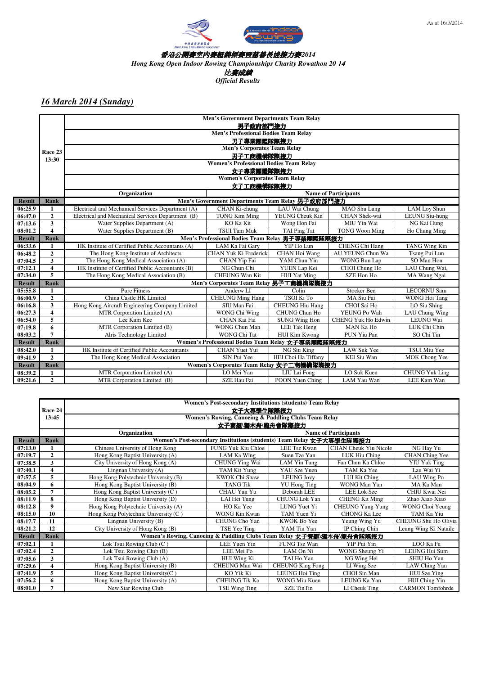

*Hong Kong Open Indoor Rowing Championships Charity Rowathon 20* 14

比賽成績

*Official Results*

|               | Men's Government Departments Team Relay |                                                   |                                                   |                        |                             |                       |  |  |  |
|---------------|-----------------------------------------|---------------------------------------------------|---------------------------------------------------|------------------------|-----------------------------|-----------------------|--|--|--|
|               |                                         |                                                   | 男子政府部門接力                                          |                        |                             |                       |  |  |  |
|               |                                         |                                                   | <b>Men's Professional Bodies Team Relay</b>       |                        |                             |                       |  |  |  |
|               |                                         |                                                   | 男子專業團體隊際接力                                        |                        |                             |                       |  |  |  |
|               | Race 23                                 |                                                   | <b>Men's Corporates Team Relay</b>                |                        |                             |                       |  |  |  |
|               | 13:30                                   |                                                   | 男子工商機構隊際接力                                        |                        |                             |                       |  |  |  |
|               |                                         |                                                   | <b>Women's Professional Bodies Team Relay</b>     |                        |                             |                       |  |  |  |
|               |                                         |                                                   | 女子專業團體隊際接力                                        |                        |                             |                       |  |  |  |
|               |                                         |                                                   | <b>Women's Corporates Team Relay</b>              |                        |                             |                       |  |  |  |
|               |                                         |                                                   | 女子工商機構隊際接力                                        |                        |                             |                       |  |  |  |
|               |                                         | Organization                                      |                                                   |                        | <b>Name of Participants</b> |                       |  |  |  |
| <b>Result</b> | Rank                                    |                                                   | Men's Government Departments Team Relay 男子政府部門接力  |                        |                             |                       |  |  |  |
| 06:25.9       | $\mathbf{1}$                            | Electrical and Mechanical Services Department (A) | CHAN Ki-chung                                     | LAU Wai Chung          | MAO Shu Lung                | LAM Loy Shun          |  |  |  |
| 06:47.0       | $\overline{2}$                          | Electrical and Mechanical Services Department (B) | <b>TONG Kim Ming</b>                              | <b>YEUNG Cheuk Kin</b> | CHAN Shek-wai               | <b>LEUNG Siu-hung</b> |  |  |  |
| 07:13.6       | $\overline{\mathbf{3}}$                 | Water Supplies Department (A)                     | KO Ka Kit                                         | Wong Hon Fai           | MIU Yin Wai                 | NG Kai Hung           |  |  |  |
| 08:01.2       | $\overline{\mathbf{4}}$                 | Water Supplies Department (B)                     | <b>TSUI Tam Muk</b>                               | TAI Ping Tat           | <b>TONG Woon Ming</b>       | Ho Chung Ming         |  |  |  |
| <b>Result</b> | Rank                                    |                                                   | Men's Professional Bodies Team Relay 男子專業團體隊際接力   |                        |                             |                       |  |  |  |
| 06:33.6       | 1                                       | HK Institute of Certified Public Accountants (A)  | LAM Ka Fai Gary                                   | YIP Ho Lun             | CHENG Chi Hang              | <b>TANG Wing Kin</b>  |  |  |  |
| 06:48.2       | $\overline{2}$                          | The Hong Kong Institute of Architects             | CHAN Yuk Ki Frederick                             | CHAN Hoi Wang          | AU YEUNG Chun Wa            | Tsang Pui Lun         |  |  |  |
| 07:04.5       | 3                                       | The Hong Kong Medical Association (A)             | CHAN Yip Fai                                      | YAM Chun Yin           | <b>WONG Bun Lap</b>         | SO Man Hon            |  |  |  |
| 07:12.1       | $\overline{4}$                          | HK Institute of Certified Public Accountants (B)  | NG Chun Chi                                       | YUEN Lap Kei           | CHOI Chung Ho               | LAU Chung Wai,        |  |  |  |
| 07:34.0       | 5                                       | The Hong Kong Medical Association (B)             | <b>CHEUNG Wan Kit</b>                             | <b>HUI</b> Yat Ming    | SZE Hon Ho                  | MA Wang Ngai          |  |  |  |
| <b>Result</b> | <b>Rank</b>                             |                                                   | Men's Corporates Team Relay 男子工商機構隊際接力            |                        |                             |                       |  |  |  |
| 05:55.8       | $\mathbf{1}$                            | <b>Pure Fitness</b>                               | Anderw LI                                         | Colin                  | Stocker Ben                 | <b>LECORNU Sam</b>    |  |  |  |
| 06:00.9       | $\overline{2}$                          | China Castle HK Limited                           | <b>CHEUNG Ming Hang</b>                           | TSOI Ki To             | MA Siu Fai                  | <b>WONG Hoi Tang</b>  |  |  |  |
| 06:16.8       | $\mathbf{3}$                            | Hong Kong Aircraft Engineering Company Limited    | SIU Man Fai                                       | <b>CHEUNG Hiu Hang</b> | CHOI Sai Ho                 | LO Siu Shing          |  |  |  |
| 06:27.3       | $\overline{\bf{4}}$                     | MTR Corporation Limited (A)                       | WONG Chi Wing                                     | CHUNG Chun Ho          | YEUNG Po Wah                | LAU Chung Wing        |  |  |  |
| 06:54.0       | 5                                       | Lee Kum Kee                                       | CHAN Kai Fai                                      | <b>SUNG Wing Hon</b>   | <b>CHENG Yuk Ho Edwin</b>   | LEUNG Wai             |  |  |  |
| 07:19.8       | 6                                       | MTR Corporation Limited (B)                       | WONG Chun Man                                     | LEE Tak Heng           | MAN Ka Ho                   | LUK Chi Chin          |  |  |  |
| 08:03.2       | $\overline{7}$                          | Alris Technology Limited                          | WONG Chi Tat                                      | HUI Kim Kwong          | PUN Yiu Pan                 | SO Chi Tin            |  |  |  |
| <b>Result</b> | <b>Rank</b>                             |                                                   | Women's Professional Bodies Team Relay 女子專業團體隊際接力 |                        |                             |                       |  |  |  |
| 08:42.0       | 1                                       | HK Institute of Certified Public Accountants      | <b>CHAN Yuet Yui</b>                              | NG Siu King            | <b>LAW Suk Yee</b>          | TSUI Miu Yee          |  |  |  |
| 09:41.9       | $\overline{2}$                          | The Hong Kong Medical Association                 | SIN Pui Yee                                       | HEI Choi Ha Tiffany    | <b>KEI Siu Wan</b>          | MOK Chong Yee         |  |  |  |
| <b>Result</b> | <b>Rank</b>                             |                                                   | Women's Corporates Team Relay 女子工商機構隊際接力          |                        |                             |                       |  |  |  |
| 08:39.2       | $\mathbf{1}$                            | MTR Corporation Limited (A)                       | LO Mei Yan                                        | LIU Lai Fong           | LO Suk Kuen                 | <b>CHUNG Yuk Ling</b> |  |  |  |
| 09:21.6       | $\overline{2}$                          | MTR Corporation Limited (B)                       | SZE Hau Fai                                       | POON Yuen Ching        | LAM Yau Wan                 | LEE Kam Wan           |  |  |  |

|               | <b>Women's Post-secondary Institutions (students) Team Relay</b> |                                                                       |                                                                      |                         |                              |                         |  |  |  |  |
|---------------|------------------------------------------------------------------|-----------------------------------------------------------------------|----------------------------------------------------------------------|-------------------------|------------------------------|-------------------------|--|--|--|--|
|               | Race 24                                                          | 女子大專學生隊際接力                                                            |                                                                      |                         |                              |                         |  |  |  |  |
|               | 13:45                                                            | Women's Rowing, Canoeing & Paddling Clubs Team Relay                  |                                                                      |                         |                              |                         |  |  |  |  |
|               |                                                                  |                                                                       | 女子賽艇\獨木舟\龍舟會隊際接力                                                     |                         |                              |                         |  |  |  |  |
|               |                                                                  | Organization                                                          |                                                                      |                         | <b>Name of Participants</b>  |                         |  |  |  |  |
| <b>Result</b> | Rank                                                             |                                                                       | Women's Post-secondary Institutions (students) Team Relay 女子大專學生隊際接力 |                         |                              |                         |  |  |  |  |
| 07:13.0       |                                                                  | Chinese University of Hong Kong                                       | FUNG Yuk Kiu Chloe                                                   | <b>LEE Tsz Kwan</b>     | <b>CHAN Cheuk Yiu Nicole</b> | NG Hay Yu               |  |  |  |  |
| 07:19.7       | $\overline{2}$                                                   | Hong Kong Baptist University (A)                                      | LAM Ka Wing                                                          | Suen Tze Yan            | LUK Hiu Ching                | CHAN Ching Yee          |  |  |  |  |
| 07:38.5       | 3                                                                | City University of Hong Kong (A)                                      | <b>CHUNG Ying Wai</b>                                                | LAM Yin Tung            | Fan Chun Ka Chloe            | <b>YIU Yuk Ting</b>     |  |  |  |  |
| 07:40.1       | $\overline{\mathbf{4}}$                                          | Lingnan University (A)                                                | TAM Kit Yung                                                         | YAU Sze Yuen            | TAM Ka Yee                   | Lau Wai Yi              |  |  |  |  |
| 07:57.5       | 5                                                                | Hong Kong Polytechnic University (B)                                  | KWOK Chi Shaw                                                        | <b>LEUNG Jovy</b>       | LUI Kit Ching                | LAU Wing Po             |  |  |  |  |
| 08:04.9       | 6                                                                | Hong Kong Baptist University (B)                                      | <b>TANG Tik</b>                                                      | <b>YU</b> Hong Ting     | WONG Man Yan                 | MA Ka Man               |  |  |  |  |
| 08:05.2       | $\overline{7}$                                                   | Hong Kong Baptist University (C)                                      | CHAU Yan Yu                                                          | Deborah LEE             | <b>LEE Lok Sze</b>           | CHIU Kwai Nei           |  |  |  |  |
| 08:11.9       | 8                                                                | Hong Kong Baptist University (D)                                      | LAI Hei Tung                                                         | CHUNG Lok Yan           | <b>CHENG Kit Ming</b>        | Zhao Xiao Xiao          |  |  |  |  |
| 08:12.8       | $\boldsymbol{9}$                                                 | Hong Kong Polytechnic University (A)                                  | HO Ka Yee                                                            | LUNG Yuet Yi            | <b>CHEUNG Yung Yung</b>      | WONG Choi Yeung         |  |  |  |  |
| 08:15.0       | 10                                                               | Hong Kong Polytechnic University (C)                                  | WONG Kin Kwan                                                        | TAM Yuen Yi             | <b>CHONG Ka Lee</b>          | TAM Ka Yiu              |  |  |  |  |
| 08:17.7       | 11                                                               | Lingnan University (B)                                                | CHUNG Cho Yan                                                        | KWOK Bo Yee             | Yeung Wing Yu                | CHEUNG Shu Ho Olivia    |  |  |  |  |
| 08:21.2       | 12                                                               | City University of Hong Kong (B)                                      | TSE Yee Ting                                                         | YAM Tin Yan             | IP Ching Chin                | Leung Wing Ki Nataile   |  |  |  |  |
| <b>Result</b> | Rank                                                             | Women's Rowing, Canoeing & Paddling Clubs Team Relay 女子賽艇\獨木舟\龍舟會隊際接力 |                                                                      |                         |                              |                         |  |  |  |  |
| 07:02.1       |                                                                  | Lok Tsui Rowing Club (C)                                              | LEE Yuen Yin                                                         | FUNG Tsz Wan            | YIP Pui Yin                  | LOO Ka Fu               |  |  |  |  |
| 07:02.4       | $\overline{2}$                                                   | Lok Tsui Rowing Club (B)                                              | LEE Mei Po                                                           | LAM On Ni               | WONG Sheung Yi               | LEUNG Hui Sum           |  |  |  |  |
| 07:05.6       | 3                                                                | Lok Tsui Rowing Club (A)                                              | HUI Wing Ki                                                          | TAI Ho Yan              | NG Wing Hei                  | SHIU Ho Yan             |  |  |  |  |
| 07:29.6       | 4                                                                | Hong Kong Baptist University (B)                                      | CHEUNG Man Wai                                                       | <b>CHEUNG King Fong</b> | LI Wing Sze                  | LAW Ching Yan           |  |  |  |  |
| 07:41.9       | 5                                                                | Hong Kong Baptist University(C)                                       | KO Yik Ki                                                            | LEUNG Hoi Ting          | CHOI Sin Man                 | HUI Sze Ying            |  |  |  |  |
| 07:56.2       | 6                                                                | Hong Kong Baptist University (A)                                      | <b>CHEUNG Tik Ka</b>                                                 | WONG Miu Kuen           | LEUNG Ka Yan                 | HUI Ching Yin           |  |  |  |  |
| 08:01.0       | 7                                                                | New Star Rowing Club                                                  | TSE Wing Ting                                                        | <b>SZE TinTin</b>       | LI Cheuk Ting                | <b>CARMON</b> Tomfohrde |  |  |  |  |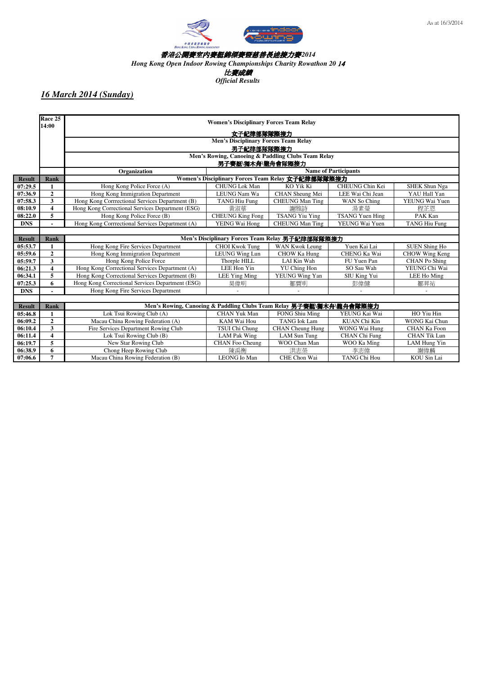



*Hong Kong Open Indoor Rowing Championships Charity Rowathon 20* 14

比賽成績

*Official Results*

|               | Race 25<br>14:00        |                                                                     | <b>Women's Disciplinary Forces Team Relay</b>      |                         |                             |                      |  |  |  |  |
|---------------|-------------------------|---------------------------------------------------------------------|----------------------------------------------------|-------------------------|-----------------------------|----------------------|--|--|--|--|
|               |                         |                                                                     | 女子紀律部隊隊際接力                                         |                         |                             |                      |  |  |  |  |
|               |                         | <b>Men's Disciplinary Forces Team Relay</b>                         |                                                    |                         |                             |                      |  |  |  |  |
|               |                         | 男子紀律部隊隊際接力                                                          |                                                    |                         |                             |                      |  |  |  |  |
|               |                         |                                                                     | Men's Rowing, Canoeing & Paddling Clubs Team Relay |                         |                             |                      |  |  |  |  |
|               |                         |                                                                     | 男子賽艇\獨木舟\龍舟會隊際接力                                   |                         |                             |                      |  |  |  |  |
|               |                         | Organization                                                        |                                                    |                         | <b>Name of Participants</b> |                      |  |  |  |  |
| <b>Result</b> | Rank                    |                                                                     | Women's Disciplinary Forces Team Relay 女子紀律部隊隊際接力  |                         |                             |                      |  |  |  |  |
| 07:29.5       | 1                       | Hong Kong Police Force (A)                                          | <b>CHUNG</b> Lok Man                               | KO Yik Ki               | CHEUNG Chin Kei             | SHEK Shun Nga        |  |  |  |  |
| 07:36.9       | $\overline{2}$          | Hong Kong Immigration Department                                    | LEUNG Nam Wa                                       | CHAN Sheung Mei         | LEE Wai Chi Jean            | YAU Hall Yan         |  |  |  |  |
| 07:58.3       | $\overline{\mathbf{3}}$ | Hong Kong Corrrectional Services Department (B)                     | <b>TANG Hiu Fung</b>                               | <b>CHEUNG Man Ting</b>  | WAN So Ching                | YEUNG Wai Yuen       |  |  |  |  |
| 08:10.9       | $\overline{\mathbf{4}}$ | Hong Kong Correctional Services Department (ESG)                    | 黃淑華                                                | 謝雅詩                     | 湯素榮                         | 程花恩                  |  |  |  |  |
| 08:22.0       | 5                       | Hong Kong Police Force (B)                                          | <b>CHEUNG King Fong</b>                            | <b>TSANG Yiu Ying</b>   | <b>TSANG Yuen Hing</b>      | PAK Kan              |  |  |  |  |
| <b>DNS</b>    |                         | Hong Kong Corrrectional Services Department (A)                     | YEING Wai Hong                                     | <b>CHEUNG Man Ting</b>  | YEUNG Wai Yuen              | <b>TANG Hiu Fung</b> |  |  |  |  |
|               |                         |                                                                     |                                                    |                         |                             |                      |  |  |  |  |
| <b>Result</b> | Rank                    |                                                                     | Men's Disciplinary Forces Team Relay 男子紀律部隊隊際接力    |                         |                             |                      |  |  |  |  |
| 05:53.7       | 1                       | Hong Kong Fire Services Department                                  | <b>CHOI Kwok Tung</b>                              | WAN Kwok Leung          | Yuen Kai Lai                | <b>SUEN Shing Ho</b> |  |  |  |  |
| 05:59.6       | $\overline{2}$          | Hong Kong Immigration Department                                    | LEUNG Wing Lun                                     | CHOW Ka Hung            | CHENG Ka Wai                | CHOW Wing Keng       |  |  |  |  |
| 05:59.7       | 3                       | Hong Kong Police Force                                              | Thorple HILL                                       | LAI Kin Wah             | FU Yuen Pan                 | <b>CHAN</b> Po Shing |  |  |  |  |
| 06:21.3       | $\overline{\mathbf{4}}$ | Hong Kong Correctional Services Department (A)                      | LEE Hon Yin                                        | <b>YU</b> Ching Hon     | SO Sau Wah                  | YEUNG Chi Wai        |  |  |  |  |
| 06:34.1       | 5                       | Hong Kong Correctional Services Department (B)                      | LEE Ying Ming                                      | YEUNG Wing Yan          | SIU King Yui                | LEE Ho Ming          |  |  |  |  |
| 07:25.3       | 6                       | Hong Kong Correctional Services Department (ESG)                    | 昊偉明                                                | 鄒賈明                     | 彭偉健                         | 鄒昇祐                  |  |  |  |  |
| <b>DNS</b>    |                         | Hong Kong Fire Services Department                                  |                                                    |                         |                             |                      |  |  |  |  |
|               |                         |                                                                     |                                                    |                         |                             |                      |  |  |  |  |
| <b>Result</b> | Rank                    | Men's Rowing, Canoeing & Paddling Clubs Team Relay 男子賽艇\獨木舟\龍舟會隊際接力 |                                                    |                         |                             |                      |  |  |  |  |
| 05:46.8       |                         | Lok Tsui Rowing Club (A)                                            | <b>CHAN Yuk Man</b>                                | <b>FONG Shiu Ming</b>   | YEUNG Kai Wai               | HO Yiu Hin           |  |  |  |  |
| 06:09.2       | $\overline{2}$          | Macau China Rowing Federation (A)                                   | KAM Wai Hou                                        | <b>TANG Iok Lam</b>     | KUAN Chi Kin                | WONG Kai Chun        |  |  |  |  |
| 06:10.4       | 3                       | Fire Services Department Rowing Club                                | TSUI Chi Chung                                     | <b>CHAN</b> Cheung Hung | WONG Wai Hung               | <b>CHAN Ka Foon</b>  |  |  |  |  |
| 06:11.4       | $\overline{\mathbf{4}}$ | Lok Tsui Rowing Club (B)                                            | <b>LAM Pak Wing</b>                                | <b>LAM Sun Tung</b>     | CHAN Chi Fung               | <b>CHAN Tik Lun</b>  |  |  |  |  |
| 06:19.7       | 5                       | New Star Rowing Club                                                | CHAN Foo Cheung                                    | WOO Chan Man            | WOO Ka Ming                 | LAM Hung Yin         |  |  |  |  |
| 06:38.9       | 6                       | Chong Heep Rowing Club                                              | 陳禹衡                                                | 洪志榮                     | 李志偉                         | 謝偉麟                  |  |  |  |  |
| 07:06.6       | $\overline{7}$          | Macau China Rowing Federation (B)                                   | <b>LEONG</b> Io Man                                | CHE Chon Wai            | <b>TANG Chi Hou</b>         | KOU Sin Lai          |  |  |  |  |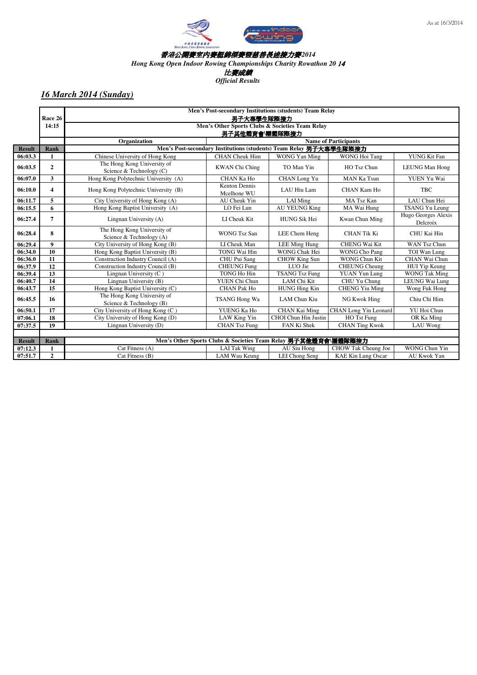



*Hong Kong Open Indoor Rowing Championships Charity Rowathon 20* 14

比賽成績

*Official Results*

|               |                         | Men's Post-secondary Institutions (students) Team Relay |                                                                    |                             |                             |                       |  |  |
|---------------|-------------------------|---------------------------------------------------------|--------------------------------------------------------------------|-----------------------------|-----------------------------|-----------------------|--|--|
|               | Race 26                 |                                                         | 男子大專學生隊際接力                                                         |                             |                             |                       |  |  |
|               | 14:15                   | Men's Other Sports Clubs & Societies Team Relay         |                                                                    |                             |                             |                       |  |  |
|               |                         |                                                         | 男子其他體育會團體隊際接力                                                      |                             |                             |                       |  |  |
|               |                         | Organization                                            |                                                                    |                             | <b>Name of Participants</b> |                       |  |  |
| <b>Result</b> | Rank                    |                                                         | Men's Post-secondary Institutions (students) Team Relay 男子大專學生隊際接力 |                             |                             |                       |  |  |
| 06:03.3       | $\blacksquare$          | Chinese University of Hong Kong                         | <b>CHAN</b> Cheuk Him                                              | WONG Yan Ming               | WONG Hoi Tang               | YUNG Kit Fan          |  |  |
| 06:03.5       | $\overline{2}$          | The Hong Kong University of                             | <b>KWAN</b> Chi Ching                                              | TO Man Yin                  | HO Tsz Chun                 | <b>LEUNG Man Hong</b> |  |  |
|               |                         | Science & Technology (C)                                |                                                                    |                             |                             |                       |  |  |
| 06:07.0       | $\overline{\mathbf{3}}$ | Hong Kong Polytechnic University (A)                    | CHAN Ka Ho                                                         | CHAN Long Yu                | <b>MAN Ka Tsun</b>          | YUEN Yu Wai           |  |  |
| 06:10.0       | 4                       | Hong Kong Polytechnic University (B)                    | <b>Kenton Dennis</b>                                               | LAU Hiu Lam                 | <b>CHAN Kam Ho</b>          | <b>TBC</b>            |  |  |
|               |                         |                                                         | Mcelhone WU                                                        |                             |                             |                       |  |  |
| 06:11.7       | 5                       | City University of Hong Kong (A)                        | AU Cheuk Yin                                                       | LAI Ming                    | MA Tsz Kan                  | LAU Chun Hei          |  |  |
| 06:15.5       | 6                       | Hong Kong Baptist University (A)                        | LO Fei Lun                                                         | <b>AU YEUNG King</b>        | MA Wai Hung                 | <b>TSANG Yu Leung</b> |  |  |
| 06:27.4       | $\overline{7}$          | Lingnan University (A)                                  | LI Cheuk Kit                                                       | <b>HUNG Sik Hei</b>         | Kwan Chun Ming              | Hugo Georges Alexis   |  |  |
|               |                         |                                                         |                                                                    |                             |                             | Delcroix              |  |  |
| 06:28.4       | 8                       | The Hong Kong University of                             | <b>WONG Tsz San</b>                                                | LEE Chem Heng               | <b>CHAN Tik Ki</b>          | CHU Kai Hin           |  |  |
|               |                         | Science & Technology (A)                                |                                                                    |                             |                             |                       |  |  |
| 06:29.4       | $\boldsymbol{9}$        | City University of Hong Kong (B)                        | LI Cheuk Man                                                       | LEE Ming Hung               | <b>CHENG Wai Kit</b>        | <b>WAN Tsz Chun</b>   |  |  |
| 06:34.0       | 10                      | Hong Kong Baptist University (B)                        | TONG Wai Hin                                                       | WONG Chak Hei               | <b>WONG Cho Pang</b>        | TOI Wan Lung          |  |  |
| 06:36.0       | 11                      | Construction Industry Council (A)                       | CHU Pui Sang                                                       | CHOW King Sun               | <b>WONG Chun Kit</b>        | CHAN Wai Chun         |  |  |
| 06:37.9       | 12                      | Construction Industry Council (B)                       | <b>CHEUNG Fung</b>                                                 | LUO Jie                     | <b>CHEUNG Cheung</b>        | HUI Yip Keung         |  |  |
| 06:39.4       | 13                      | Lingnan University (C)                                  | TONG Ho Hin                                                        | <b>TSANG Tsz Fung</b>       | <b>YUAN Yun Lung</b>        | <b>WONG Tak Ming</b>  |  |  |
| 06:40.7       | 14                      | Lingnan University (B)                                  | YUEN Chi Chun                                                      | LAM Chi Kit                 | CHU Yu Chung                | LEUNG Wai Lung        |  |  |
| 06:43.7       | 15                      | Hong Kong Baptist University (C)                        | <b>CHAN Pak Ho</b>                                                 | <b>HUNG Hing Kin</b>        | <b>CHENG Yiu Ming</b>       | Wong Fuk Hong         |  |  |
| 06:45.5       | 16                      | The Hong Kong University of                             | TSANG Hong Wa                                                      | LAM Chun Kiu                | NG Kwok Hing                | Chiu Chi Him          |  |  |
|               |                         | Science & Technology (B)                                |                                                                    |                             |                             |                       |  |  |
| 06:50.1       | 17                      | City University of Hong Kong (C)                        | YUENG Ka Ho                                                        | CHAN Kai Ming               | CHAN Long Yin Leonard       | YU Hoi Chun           |  |  |
| 07:06.1       | 18                      | City University of Hong Kong (D)                        | LAW King Yin                                                       | <b>CHOI</b> Chun Hin Justin | HO Tst Fung                 | OR Ka Ming            |  |  |
| 07:37.5       | 19                      | Lingnan University (D)                                  | <b>CHAN Tsz Fung</b>                                               | FAN Ki Shek                 | <b>CHAN Ting Kwok</b>       | LAU Wong              |  |  |
|               |                         |                                                         |                                                                    |                             |                             |                       |  |  |
| <b>Result</b> | Rank                    |                                                         | Men's Other Sports Clubs & Societies Team Relay 男子其他體育會\團體隊際接力     |                             |                             |                       |  |  |
| 07:12.3       | 1                       | Cat Fitness (A)                                         | <b>LAI</b> Tak Wing                                                | AU Siu Hong                 | CHOW Tak Cheung Joe         | <b>WONG Chun Yin</b>  |  |  |
| 07:51.7       | $\overline{2}$          | Cat Fitness (B)                                         | LAM Wau Keung                                                      | LEI Chong Seng              | <b>KAE Kin Lung Oscar</b>   | AU Kwok Yan           |  |  |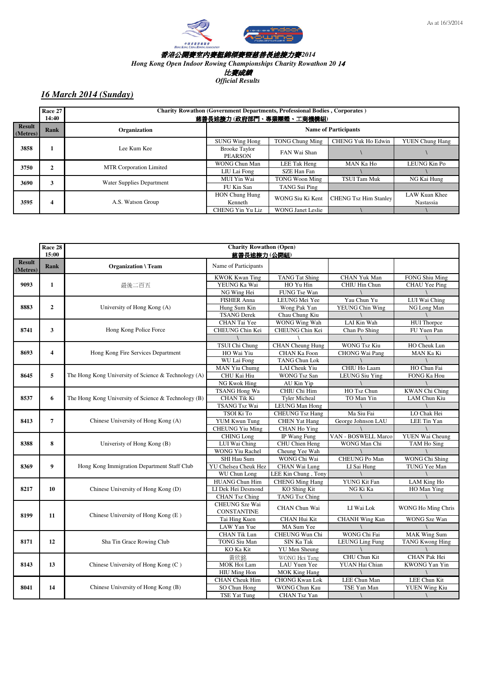

As at 16/3/2014

#### 香港公開賽室內賽艇錦標賽暨慈善長途接力賽*2014*

*Hong Kong Open Indoor Rowing Championships Charity Rowathon 20* 14

比賽成績

*Official Results*

|                    | Race 27<br>14:40 |                                           | <b>Charity Rowathon (Government Departments, Professional Bodies, Corporates)</b><br>慈善長途接力(政府部門、專業團體、工商機構組) |                             |                              |                        |  |  |
|--------------------|------------------|-------------------------------------------|--------------------------------------------------------------------------------------------------------------|-----------------------------|------------------------------|------------------------|--|--|
| Result<br>(Metres) | Rank             | Organization                              |                                                                                                              | <b>Name of Participants</b> |                              |                        |  |  |
|                    |                  |                                           | <b>SUNG Wing Hong</b>                                                                                        | <b>TONG Chung Ming</b>      | <b>CHENG Yuk Ho Edwin</b>    | <b>YUEN Chung Hang</b> |  |  |
| 3858               |                  | Lee Kum Kee                               | <b>Brooke Taylor</b><br><b>PEARSON</b>                                                                       | FAN Wai Shan                |                              |                        |  |  |
| 3750               |                  | MTR Corporation Limited<br>$\overline{2}$ | WONG Chun Man                                                                                                | LEE Tak Heng                | MAN Ka Ho                    | LEUNG Kin Po           |  |  |
|                    |                  |                                           | LIU Lai Fong                                                                                                 | SZE Han Fan                 |                              |                        |  |  |
| 3690               |                  | 3<br>Water Supplies Department            | MUI Yin Wai                                                                                                  | <b>TONG Woon Ming</b>       | TSUI Tam Muk                 | NG Kai Hung            |  |  |
|                    |                  |                                           | FU Kin San                                                                                                   | TANG Sui Ping               |                              |                        |  |  |
|                    |                  |                                           | <b>HON Chung Hung</b>                                                                                        | WONG Siu Ki Kent            | <b>CHENG Tsz Him Stanley</b> | LAW Kuan Khee          |  |  |
| 3595               | 4                | A.S. Watson Group                         | Kenneth                                                                                                      |                             |                              | Nastassia              |  |  |
|                    |                  |                                           | <b>CHENG Yin Yu Liz</b>                                                                                      | <b>WONG Janet Leslie</b>    |                              |                        |  |  |

|                           | Race 28<br>15:00        | <b>Charity Rowathon (Open)</b><br>慈善長途接力(公開組)        |                                             |                         |                       |                        |
|---------------------------|-------------------------|------------------------------------------------------|---------------------------------------------|-------------------------|-----------------------|------------------------|
| <b>Result</b><br>(Metres) | Rank                    | <b>Organization \Team</b>                            | Name of Participants                        |                         |                       |                        |
|                           |                         |                                                      | <b>KWOK Kwan Ting</b>                       | <b>TANG Tat Shing</b>   | CHAN Yuk Man          | FONG Shiu Ming         |
| 9093                      | 1                       | 最後二百五                                                | YEUNG Ka Wai                                | HO Yu Hin               | <b>CHIU Hin Chun</b>  | CHAU Yee Ping          |
|                           |                         |                                                      | NG Wing Hei                                 | FUNG Tse Wan            |                       |                        |
|                           |                         |                                                      | <b>FISHER Anna</b>                          | LEUNG Mei Yee           | Yau Chun Yu           | LUI Wai Ching          |
| 8883                      | $\overline{2}$          | University of Hong Kong (A)                          | Hung Sum Kin                                | Wong Pak Yan            | YEUNG Chin Wing       | NG Long Man            |
|                           |                         |                                                      | <b>TSANG</b> Derek                          | Chau Chung Kiu          |                       |                        |
|                           |                         |                                                      | CHAN Tai Yee                                | WONG Wing Wah           | LAI Kin Wah           | <b>HUI</b> Thorpce     |
| 8741                      | 3                       | Hong Kong Police Force                               | CHEUNG Chin Kei                             | CHEUNG Chin Kei         | Chan Po Shing         | FU Yuen Pan            |
|                           |                         |                                                      |                                             |                         |                       |                        |
|                           |                         |                                                      | <b>TSUI Chi Chung</b>                       | <b>CHAN</b> Cheung Hung | <b>WONG Tsz Kiu</b>   | HO Cheuk Lun           |
| 8693                      | $\overline{\mathbf{4}}$ | Hong Kong Fire Services Department                   | HO Wai Yiu                                  | CHAN Ka Foon            | <b>CHONG Wai Pang</b> | MAN Ka Ki              |
|                           |                         |                                                      | WU Lai Fong                                 | <b>TANG Chun Lok</b>    |                       |                        |
|                           |                         |                                                      | <b>MAN Yiu Chumg</b>                        | LAI Cheuk Yiu           | CHIU Ho Laam          | HO Chun Fai            |
| 8645                      | 5                       | The Hong Kong University of Science & Technology (A) | CHU Kai Hiu                                 | <b>WONG Tsz San</b>     | <b>LEUNG Siu Ying</b> | FONG Ka Hou            |
|                           |                         |                                                      | NG Kwok Hing                                | AU Kin Yip              |                       |                        |
|                           |                         |                                                      | <b>TSANG Hong Wa</b>                        | CHIU Chi Him            | HO Tsz Chun           | <b>KWAN</b> Chi Ching  |
| 8537                      | 6                       | The Hong Kong University of Science & Technology (B) | <b>CHAN Tik Ki</b>                          | <b>Tyler Micheal</b>    | TO Man Yin            | LAM Chun Kiu           |
|                           |                         |                                                      | <b>TSANG Tsz Wai</b>                        | <b>LEUNG Man Hong</b>   |                       |                        |
|                           |                         |                                                      | TSOI Ki To                                  | <b>CHEUNG</b> Tsz Hang  | Ma Siu Fai            | LO Chak Hei            |
| 8413                      | $\overline{7}$          | Chinese University of Hong Kong (A)                  | <b>YUM Kwun Tung</b>                        | <b>CHEN</b> Yat Hang    | George Johnson LAU    | LEE Tin Yan            |
|                           |                         |                                                      | <b>CHEUNG Yiu Ming</b>                      | CHAN Ho Ying            |                       |                        |
|                           |                         |                                                      | <b>CHING</b> Long                           | IP Wang Fung            | VAN - BOSWELL Marco   | YUEN Wai Cheung        |
| 8388                      | 8                       | Univeristy of Hong Kong (B)                          | LUI Wai Ching                               | CHU Chien Heng          | WONG Man Chi          | TAM Ho Sing            |
|                           |                         |                                                      | <b>WONG Yiu Rachel</b>                      | Cheung Yee Wah          |                       |                        |
|                           |                         |                                                      | SHI Hau Sum                                 | WONG Chi Wai            | CHEUNG Po Man         | WONG Chi Shing         |
| 8369                      | 9                       | Hong Kong Immigration Department Staff Club          | <b>YU Chelsea Cheuk Hez</b>                 | CHAN Wai Lung           | LI Sai Hung           | TUNG Yee Man           |
|                           |                         |                                                      | WU Chun Long                                | LEE Kin Chung, Tony     |                       |                        |
|                           |                         |                                                      | <b>HUANG Chun Him</b>                       | <b>CHENG Ming Hang</b>  | YUNG Kit Fan          | LAM King Ho            |
| 8217                      | 10                      | Chinese University of Hong Kong (D)                  | LI Dek Hei Desmond                          | KO Shing Kit            | NG Ki Ka              | HO Man Ying            |
|                           |                         |                                                      | <b>CHAN Tsz Ching</b>                       | <b>TANG Tsz Ching</b>   |                       |                        |
|                           |                         |                                                      | <b>CHEUNG</b> Sze Wai<br><b>CONSTANTINE</b> | <b>CHAN</b> Chun Wai    | LI Wai Lok            | WONG Ho Ming Chris     |
| 8199                      | 11                      | Chinese University of Hong Kong (E)                  | Tai Hing Kuen                               | CHAN Hui Kit            | <b>CHANH Wing Kan</b> | <b>WONG</b> Sze Wan    |
|                           |                         |                                                      | LAW Yan Yue                                 | MA Sum Yee              |                       |                        |
|                           |                         |                                                      | <b>CHAN Tik Lun</b>                         | CHEUNG Wun Chi          | WONG Chi Fai          | <b>MAK Wing Sum</b>    |
| 8171                      | 12                      | Sha Tin Grace Rowing Club                            | <b>TONG Siu Man</b>                         | SIN Ka Tak              | LEUNG Ling Fung       | <b>TANG Kwong Hing</b> |
|                           |                         |                                                      | KO Ka Kit                                   | <b>YU</b> Men Sheung    |                       |                        |
|                           |                         |                                                      | 黃欣銘                                         | WONG Hoi Tang           | CHU Chun Kit          | CHAN Pak Hei           |
| 8143                      | 13                      | Chinese University of Hong Kong (C)                  | MOK Hoi Lam                                 | <b>LAU Yuen Yee</b>     | YUAN Hai Chian        | <b>KWONG</b> Yan Yin   |
|                           |                         |                                                      | HIU Ming Hon                                | <b>MOK King Hang</b>    |                       |                        |
|                           |                         |                                                      | <b>CHAN</b> Cheuk Him                       | <b>CHONG Kwan Lok</b>   | LEE Chun Man          | <b>LEE Chun Kit</b>    |
| 8041                      | 14                      | Chinese University of Hong Kong (B)                  | SO Chun Hong                                | <b>WONG Chun Kau</b>    | TSE Yan Man           | <b>YUEN Wing Kiu</b>   |
|                           |                         |                                                      | TSE Yat Tung                                | CHAN Tsz Yan            |                       |                        |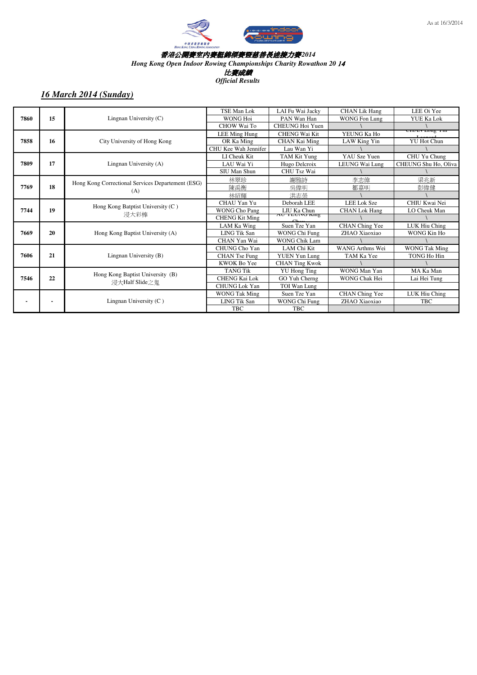

*Hong Kong Open Indoor Rowing Championships Charity Rowathon 20* 14

比賽成績

*Official Results*

| 7860 | 15             | Lingnan University (C)                                   | TSE Man Lok           | LAI Fu Wai Jacky      | <b>CHAN Lik Hang</b> | LEE Oi Yee           |
|------|----------------|----------------------------------------------------------|-----------------------|-----------------------|----------------------|----------------------|
|      |                |                                                          | <b>WONG Hoi</b>       | PAN Wan Han           | <b>WONG Fon Lung</b> | YUE Ka Lok           |
|      |                |                                                          | CHOW Wai To           | CHEUNG Hoi Yuen       |                      |                      |
| 7858 | 16             | City University of Hong Kong                             | LEE Ming Hung         | <b>CHENG Wai Kit</b>  | YEUNG Ka Ho          | CITAIN LONG 1 III    |
|      |                |                                                          | OR Ka Ming            | CHAN Kai Ming         | LAW King Yin         | <b>YU Hot Chun</b>   |
|      |                |                                                          | CHU Kee Wah Jennifer  | Lau Wan Yi            |                      |                      |
| 7809 | 17             | Lingnan University (A)                                   | LI Cheuk Kit          | TAM Kit Yung          | YAU Sze Yuen         | CHU Yu Chung         |
|      |                |                                                          | LAU Wai Yi            | Hugo Delcroix         | LEUNG Wai Lung       | CHEUNG Shu Ho. Oliva |
|      |                |                                                          | SIU Man Shun          | CHU Tsz Wai           |                      |                      |
| 7769 | 18             | Hong Kong Correctional Services Departement (ESG)<br>(A) | 林翠珍                   | 謝雅詩                   | 李志偉                  | 梁兆新                  |
|      |                |                                                          | 陳禹衡                   | 吳偉明                   | 鄒嘉明                  | 彭偉健                  |
|      |                |                                                          | 林紹輝                   | 洪志榮                   |                      |                      |
| 7744 | 19             | Hong Kong Batptist University (C)<br>浸大彩棒                | CHAU Yan Yu           | Deborah LEE           | <b>LEE Lok Sze</b>   | CHIU Kwai Nei        |
|      |                |                                                          | <b>WONG Cho Pang</b>  | LIU Ka Chun           | <b>CHAN Lok Hang</b> | LO Cheuk Man         |
|      |                |                                                          | <b>CHENG Kit Ming</b> | AU LEUNU NIIII        |                      |                      |
| 7669 | 20             | Hong Kong Baptist University (A)                         | LAM Ka Wing           | Suen Tze Yan          | CHAN Ching Yee       | LUK Hiu Ching        |
|      |                |                                                          | <b>LING Tik San</b>   | WONG Chi Fung         | ZHAO Xiaoxiao        | WONG Kin Ho          |
|      |                |                                                          | CHAN Yan Wai          | <b>WONG Chik Lam</b>  |                      |                      |
|      | 21             | Lingnan University (B)                                   | CHUNG Cho Yan         | LAM Chi Kit           | WANG Arthms Wei      | <b>WONG Tak Ming</b> |
| 7606 |                |                                                          | CHAN Tse Fung         | <b>YUEN Yun Lung</b>  | TAM Ka Yee           | TONG Ho Hin          |
|      |                |                                                          | KWOK Bo Yee           | <b>CHAN Ting Kwok</b> |                      |                      |
| 7546 | 22             | Hong Kong Baptist University (B)<br>浸大Half Slide之鬼       | <b>TANG Tik</b>       | <b>YU</b> Hong Ting   | WONG Man Yan         | MA Ka Man            |
|      |                |                                                          | <b>CHENG Kai Lok</b>  | GO Yuh Cherng         | WONG Chak Hei        | Lai Hei Tung         |
|      |                |                                                          | <b>CHUNG Lok Yan</b>  | TOI Wan Lung          |                      |                      |
|      | $\blacksquare$ | Lingnan University $(C)$                                 | <b>WONG Tak Ming</b>  | Suen Tze Yan          | CHAN Ching Yee       | LUK Hiu Ching        |
|      |                |                                                          | <b>LING Tik San</b>   | WONG Chi Fung         | ZHAO Xiaoxiao        | <b>TBC</b>           |
|      |                |                                                          | <b>TBC</b>            | <b>TBC</b>            |                      |                      |